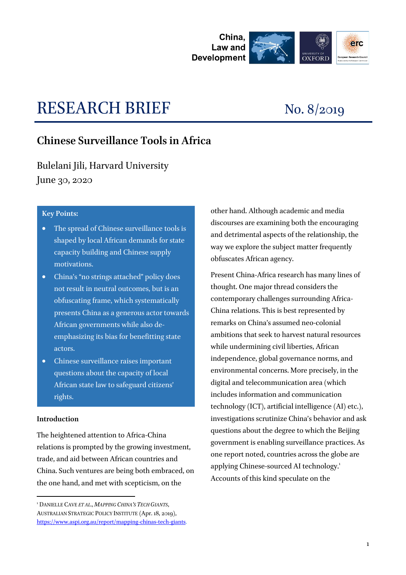

# RESEARCH BRIEF No. 8/2019

## **Chinese Surveillance Tools in Africa**

Bulelani Jili, Harvard University June 30, 2020

#### **Key Points:**

- The spread of Chinese surveillance tools is shaped by local African demands for state capacity building and Chinese supply motivations.
- China's "no strings attached" policy does not result in neutral outcomes, but is an obfuscating frame, which systematically presents China as a generous actor towards African governments while also deemphasizing its bias for benefitting state actors.
- Chinese surveillance raises important questions about the capacity of local African state law to safeguard citizens' rights.

#### **Introduction**

-

The heightened attention to Africa-China relations is prompted by the growing investment, trade, and aid between African countries and China. Such ventures are being both embraced, on the one hand, and met with scepticism, on the

other hand. Although academic and media discourses are examining both the encouraging and detrimental aspects of the relationship, the way we explore the subject matter frequently obfuscates African agency.

Present China-Africa research has many lines of thought. One major thread considers the contemporary challenges surrounding Africa-China relations. This is best represented by remarks on China's assumed neo-colonial ambitions that seek to harvest natural resources while undermining civil liberties, African independence, global governance norms, and environmental concerns. More precisely, in the digital and telecommunication area (which includes information and communication technology (ICT), artificial intelligence (AI) etc.), investigations scrutinize China's behavior and ask questions about the degree to which the Beijing government is enabling surveillance practices. As one report noted, countries across the globe are applying Chinese-sourced AI technology.<sup>1</sup> Accounts of this kind speculate on the

<sup>1</sup> DANIELLE CAVE *ET AL*., *MAPPING CHINA'S TECH GIANTS*, AUSTRALIAN STRATEGIC POLICY INSTITUTE (Apr. 18, 2019), [https://www.aspi.org.au/report/mapping-chinas-tech-giants.](https://www.aspi.org.au/report/mapping-chinas-tech-giants)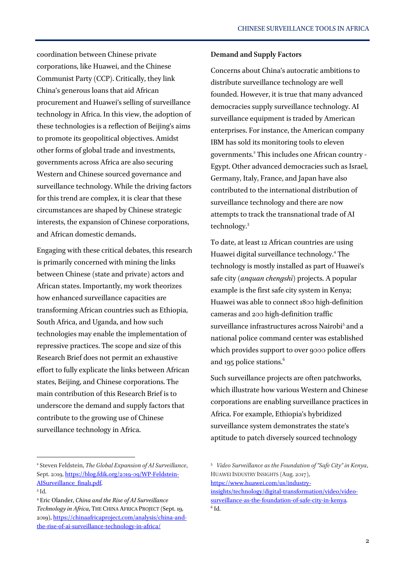coordination between Chinese private corporations, like Huawei, and the Chinese Communist Party (CCP). Critically, they link China's generous loans that aid African procurement and Huawei's selling of surveillance technology in Africa. In this view, the adoption of these technologies is a reflection of Beijing's aims to promote its geopolitical objectives. Amidst other forms of global trade and investments, governments across Africa are also securing Western and Chinese sourced governance and surveillance technology. While the driving factors for this trend are complex, it is clear that these circumstances are shaped by Chinese strategic interests, the expansion of Chinese corporations, and African domestic demands**.** 

Engaging with these critical debates, this research is primarily concerned with mining the links between Chinese (state and private) actors and African states. Importantly, my work theorizes how enhanced surveillance capacities are transforming African countries such as Ethiopia, South Africa, and Uganda, and how such technologies may enable the implementation of repressive practices. The scope and size of this Research Brief does not permit an exhaustive effort to fully explicate the links between African states, Beijing, and Chinese corporations. The main contribution of this Research Brief is to underscore the demand and supply factors that contribute to the growing use of Chinese surveillance technology in Africa.

 $\overline{a}$ 

#### **Demand and Supply Factors**

Concerns about China's autocratic ambitions to distribute surveillance technology are well founded. However, it is true that many advanced democracies supply surveillance technology. AI surveillance equipment is traded by American enterprises. For instance, the American company IBM has sold its monitoring tools to eleven governments.<sup>2</sup> This includes one African country -Egypt. Other advanced democracies such as Israel, Germany, Italy, France, and Japan have also contributed to the international distribution of surveillance technology and there are now attempts to track the transnational trade of AI technology.<sup>3</sup>

To date, at least 12 African countries are using Huawei digital surveillance technology.<sup>4</sup> The technology is mostly installed as part of Huawei's safe city (*anquan chengshì*) projects. A popular example is the first safe city system in Kenya; Huawei was able to connect 1800 high-definition cameras and 200 high-definition traffic surveillance infrastructures across Nairobi<sup>5</sup> and a national police command center was established which provides support to over 9000 police offers and 195 police stations.<sup>6</sup>

Such surveillance projects are often patchworks, which illustrate how various Western and Chinese corporations are enabling surveillance practices in Africa. For example, Ethiopia's hybridized surveillance system demonstrates the state's aptitude to patch diversely sourced technology

<sup>2</sup> Steven Feldstein, *The Global Expansion of AI Surveillance*, Sept. 2019, [https://blog.fdik.org/2019-09/WP-Feldstein-](https://blog.fdik.org/2019-09/WP-Feldstein-AISurveillance_final1.pdf)[AISurveillance\\_final1.pdf.](https://blog.fdik.org/2019-09/WP-Feldstein-AISurveillance_final1.pdf)

<sup>3</sup> Id.

<sup>4</sup> Eric Olander, *China and the Rise of AI Surveillance Technology in Africa*, THE CHINA AFRICA PROJECT (Sept. 19, 2019), [https://chinaafricaproject.com/analysis/china-and](https://chinaafricaproject.com/analysis/china-and-the-rise-of-ai-surveillance-technology-in-africa/)[the-rise-of-ai-surveillance-technology-in-africa/](https://chinaafricaproject.com/analysis/china-and-the-rise-of-ai-surveillance-technology-in-africa/)

<sup>5</sup> *Video Surveillance as the Foundation of "Safe City" in Kenya*, HUAWEI INDUSTRY INSIGHTS (Aug. 2017), [https://www.huawei.com/us/industry-](https://www.huawei.com/us/industry-insights/technology/digital-transformation/video/video-surveillance-as-the-foundation-of-safe-city-in-kenya)

[insights/technology/digital-transformation/video/video](https://www.huawei.com/us/industry-insights/technology/digital-transformation/video/video-surveillance-as-the-foundation-of-safe-city-in-kenya)[surveillance-as-the-foundation-of-safe-city-in-kenya.](https://www.huawei.com/us/industry-insights/technology/digital-transformation/video/video-surveillance-as-the-foundation-of-safe-city-in-kenya)  $6$  Id.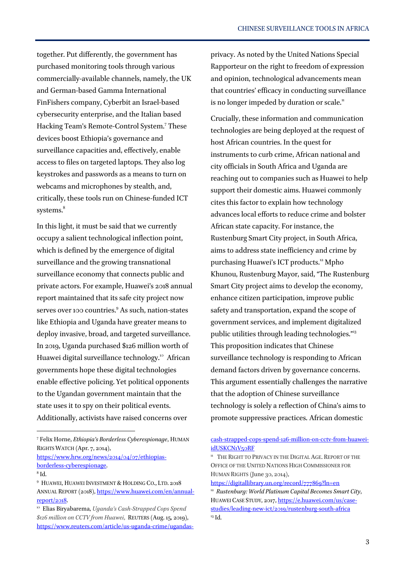together. Put differently, the government has purchased monitoring tools through various commercially-available channels, namely, the UK and German-based Gamma International FinFishers company, Cyberbit an Israel-based cybersecurity enterprise, and the Italian based Hacking Team's Remote-Control System.<sup>7</sup> These devices boost Ethiopia's governance and surveillance capacities and, effectively, enable access to files on targeted laptops. They also log keystrokes and passwords as a means to turn on webcams and microphones by stealth, and, critically, these tools run on Chinese-funded ICT systems.<sup>8</sup>

In this light, it must be said that we currently occupy a salient technological inflection point, which is defined by the emergence of digital surveillance and the growing transnational surveillance economy that connects public and private actors. For example, Huawei's 2018 annual report maintained that its safe city project now serves over 100 countries.<sup>9</sup> As such, nation-states like Ethiopia and Uganda have greater means to deploy invasive, broad, and targeted surveillance. In 2019, Uganda purchased \$126 million worth of Huawei digital surveillance technology.<sup>10</sup> African governments hope these digital technologies enable effective policing. Yet political opponents to the Ugandan government maintain that the state uses it to spy on their political events. Additionally, activists have raised concerns over

[https://www.hrw.org/news/2014/04/07/ethiopias](https://www.hrw.org/news/2014/04/07/ethiopias-borderless-cyberespionage)[borderless-cyberespionage.](https://www.hrw.org/news/2014/04/07/ethiopias-borderless-cyberespionage)

 $\overline{a}$ 

privacy. As noted by the United Nations Special Rapporteur on the right to freedom of expression and opinion, technological advancements mean that countries' efficacy in conducting surveillance is no longer impeded by duration or scale.<sup>11</sup>

Crucially, these information and communication technologies are being deployed at the request of host African countries. In the quest for instruments to curb crime, African national and city officials in South Africa and Uganda are reaching out to companies such as Huawei to help support their domestic aims. Huawei commonly cites this factor to explain how technology advances local efforts to reduce crime and bolster African state capacity. For instance, the Rustenburg Smart City project, in South Africa, aims to address state inefficiency and crime by purchasing Huawei's ICT products.<sup>12</sup> Mpho Khunou, Rustenburg Mayor, said, "The Rustenburg Smart City project aims to develop the economy, enhance citizen participation, improve public safety and transportation, expand the scope of government services, and implement digitalized public utilities through leading technologies."<sup>13</sup> This proposition indicates that Chinese surveillance technology is responding to African demand factors driven by governance concerns. This argument essentially challenges the narrative that the adoption of Chinese surveillance technology is solely a reflection of China's aims to promote suppressive practices. African domestic

<https://digitallibrary.un.org/record/777869?ln=en>

<sup>7</sup> Felix Horne, *Ethiopia's Borderless Cyberespionage*, HUMAN RIGHTS WATCH (Apr. 7, 2014),

 $^8$ Id.

<sup>&</sup>lt;sup>9</sup> HUAWEI, HUAWEI INVESTMENT & HOLDING CO., LTD. 2018 ANNUAL REPORT (2018)[, https://www.huawei.com/en/annual](https://www.huawei.com/en/annual-report/2018)[report/2018.](https://www.huawei.com/en/annual-report/2018)

<sup>10</sup> Elias Biryabarema, *Uganda's Cash-Strapped Cops Spend \$126 million on CCTV from Huawei*, REUTERS (Aug. 15, 2019), [https://www.reuters.com/article/us-uganda-crime/ugandas-](https://www.reuters.com/article/us-uganda-crime/ugandas-cash-strapped-cops-spend-126-million-on-cctv-from-huawei-idUSKCN1V50RF)

[cash-strapped-cops-spend-126-million-on-cctv-from-huawei](https://www.reuters.com/article/us-uganda-crime/ugandas-cash-strapped-cops-spend-126-million-on-cctv-from-huawei-idUSKCN1V50RF)[idUSKCN1V50RF](https://www.reuters.com/article/us-uganda-crime/ugandas-cash-strapped-cops-spend-126-million-on-cctv-from-huawei-idUSKCN1V50RF)

<sup>&</sup>lt;sup>11</sup> THE RIGHT TO PRIVACY IN THE DIGITAL AGE. REPORT OF THE OFFICE OF THE UNITED NATIONS HIGH COMMISSIONER FOR HUMAN RIGHTS (June 30, 2014),

<sup>12</sup> *Rustenburg: World Platinum Capital Becomes Smart City*, HUAWEI CASE STUDY, 2017, [https://e.huawei.com/us/case](https://e.huawei.com/us/case-studies/leading-new-ict/2019/rustenburg-south-africa)[studies/leading-new-ict/2019/rustenburg-south-africa](https://e.huawei.com/us/case-studies/leading-new-ict/2019/rustenburg-south-africa) <sup>13</sup> Id.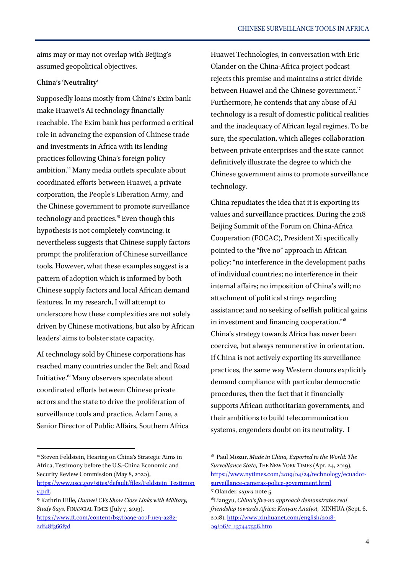aims may or may not overlap with Beijing's assumed geopolitical objectives.

#### **China's 'Neutrality'**

Supposedly loans mostly from China's Exim bank make Huawei's AI technology financially reachable. The Exim bank has performed a critical role in advancing the expansion of Chinese trade and investments in Africa with its lending practices following China's foreign policy ambition.<sup>14</sup> Many media outlets speculate about coordinated efforts between Huawei, a private corporation, the People's Liberation Army, and the Chinese government to promote surveillance technology and practices.<sup>15</sup> Even though this hypothesis is not completely convincing, it nevertheless suggests that Chinese supply factors prompt the proliferation of Chinese surveillance tools. However, what these examples suggest is a pattern of adoption which is informed by both Chinese supply factors and local African demand features. In my research, I will attempt to underscore how these complexities are not solely driven by Chinese motivations, but also by African leaders' aims to bolster state capacity.

AI technology sold by Chinese corporations has reached many countries under the Belt and Road Initiative.<sup>16</sup> Many observers speculate about coordinated efforts between Chinese private actors and the state to drive the proliferation of surveillance tools and practice. Adam Lane, a Senior Director of Public Affairs, Southern Africa

 $\overline{a}$ 

Huawei Technologies, in conversation with Eric Olander on the China-Africa project podcast rejects this premise and maintains a strict divide between Huawei and the Chinese government.<sup>17</sup> Furthermore, he contends that any abuse of AI technology is a result of domestic political realities and the inadequacy of African legal regimes. To be sure, the speculation, which alleges collaboration between private enterprises and the state cannot definitively illustrate the degree to which the Chinese government aims to promote surveillance technology.

China repudiates the idea that it is exporting its values and surveillance practices. During the 2018 Beijing Summit of the Forum on China-Africa Cooperation (FOCAC), President Xi specifically pointed to the "five no" approach in African policy: "no interference in the development paths of individual countries; no interference in their internal affairs; no imposition of China's will; no attachment of political strings regarding assistance; and no seeking of selfish political gains in investment and financing cooperation."<sup>18</sup> China's strategy towards Africa has never been coercive, but always remunerative in orientation. If China is not actively exporting its surveillance practices, the same way Western donors explicitly demand compliance with particular democratic procedures, then the fact that it financially supports African authoritarian governments, and their ambitions to build telecommunication systems, engenders doubt on its neutrality. I

<sup>&</sup>lt;sup>14</sup> Steven Feldstein, Hearing on China's Strategic Aims in Africa, Testimony before the U.S.-China Economic and Security Review Commission (May 8, 2020),

[https://www.uscc.gov/sites/default/files/Feldstein\\_Testimon](https://www.uscc.gov/sites/default/files/Feldstein_Testimony.pdf) [y.pdf.](https://www.uscc.gov/sites/default/files/Feldstein_Testimony.pdf)

<sup>15</sup> Kathrin Hille, *Huawei CVs Show Close Links with Military, Study Says*, FINANCIAL TIMES (July 7, 2019),

[https://www.ft.com/content/b37f0a9e-a07f-11e9-a282-](https://www.ft.com/content/b37f0a9e-a07f-11e9-a282-2df48f366f7d) [2df48f366f7d](https://www.ft.com/content/b37f0a9e-a07f-11e9-a282-2df48f366f7d)

<sup>16</sup> Paul Mozur, *Made in China, Exported to the World: The Surveillance State*, THE NEW YORK TIMES (Apr. 24, 2019), [https://www.nytimes.com/2019/04/24/technology/ecuador](https://www.nytimes.com/2019/04/24/technology/ecuador-surveillance-cameras-police-government.html)[surveillance-cameras-police-government.html](https://www.nytimes.com/2019/04/24/technology/ecuador-surveillance-cameras-police-government.html)

<sup>17</sup> Olander, *supra* note 5.

<sup>18</sup>Liangyu, *China's five-no approach demonstrates real friendship towards Africa: Kenyan Analyst,* XINHUA (Sept. 6, 2018), [http://www.xinhuanet.com/english/2018-](http://www.xinhuanet.com/english/2018-09/06/c_137447556.htm) [09/06/c\\_137447556.htm](http://www.xinhuanet.com/english/2018-09/06/c_137447556.htm)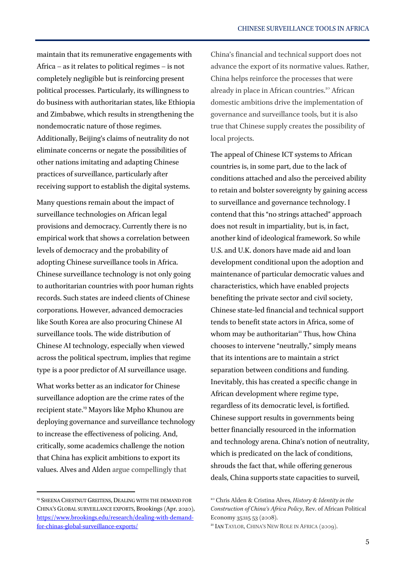maintain that its remunerative engagements with Africa – as it relates to political regimes – is not completely negligible but is reinforcing present political processes. Particularly, its willingness to do business with authoritarian states, like Ethiopia and Zimbabwe, which results in strengthening the nondemocratic nature of those regimes. Additionally, Beijing's claims of neutrality do not eliminate concerns or negate the possibilities of other nations imitating and adapting Chinese practices of surveillance, particularly after receiving support to establish the digital systems.

Many questions remain about the impact of surveillance technologies on African legal provisions and democracy. Currently there is no empirical work that shows a correlation between levels of democracy and the probability of adopting Chinese surveillance tools in Africa. Chinese surveillance technology is not only going to authoritarian countries with poor human rights records. Such states are indeed clients of Chinese corporations. However, advanced democracies like South Korea are also procuring Chinese AI surveillance tools. The wide distribution of Chinese AI technology, especially when viewed across the political spectrum, implies that regime type is a poor predictor of AI surveillance usage.

What works better as an indicator for Chinese surveillance adoption are the crime rates of the recipient state.<sup>19</sup> Mayors like Mpho Khunou are deploying governance and surveillance technology to increase the effectiveness of policing. And, critically, some academics challenge the notion that China has explicit ambitions to export its values. Alves and Alden argue compellingly that

<sup>19</sup> SHEENA CHESTNUT GREITENS, DEALING WITH THE DEMAND FOR CHINA'S GLOBAL SURVEILLANCE EXPORTS, Brookings (Apr. 2020), [https://www.brookings.edu/research/dealing-with-demand](https://www.brookings.edu/research/dealing-with-demand-for-chinas-global-surveillance-exports/)[for-chinas-global-surveillance-exports/](https://www.brookings.edu/research/dealing-with-demand-for-chinas-global-surveillance-exports/)

 $\overline{a}$ 

China's financial and technical support does not advance the export of its normative values. Rather, China helps reinforce the processes that were already in place in African countries.<sup>20</sup> African domestic ambitions drive the implementation of governance and surveillance tools, but it is also true that Chinese supply creates the possibility of local projects.

The appeal of Chinese ICT systems to African countries is, in some part, due to the lack of conditions attached and also the perceived ability to retain and bolster sovereignty by gaining access to surveillance and governance technology. I contend that this "no strings attached" approach does not result in impartiality, but is, in fact, another kind of ideological framework. So while U.S. and U.K. donors have made aid and loan development conditional upon the adoption and maintenance of particular democratic values and characteristics, which have enabled projects benefiting the private sector and civil society, Chinese state-led financial and technical support tends to benefit state actors in Africa, some of whom may be authoritarian<sup>21</sup> Thus, how China chooses to intervene "neutrally," simply means that its intentions are to maintain a strict separation between conditions and funding. Inevitably, this has created a specific change in African development where regime type, regardless of its democratic level, is fortified. Chinese support results in governments being better financially resourced in the information and technology arena. China's notion of neutrality, which is predicated on the lack of conditions, shrouds the fact that, while offering generous deals, China supports state capacities to surveil,

<sup>20</sup> Chris Alden & Cristina Alves, *History & Identity in the Construction of China's Africa Policy*, Rev. of African Political Economy 35:115 53 (2008).

<sup>&</sup>lt;sup>21</sup> IAN TAYLOR, CHINA'S NEW ROLE IN AFRICA (2009).